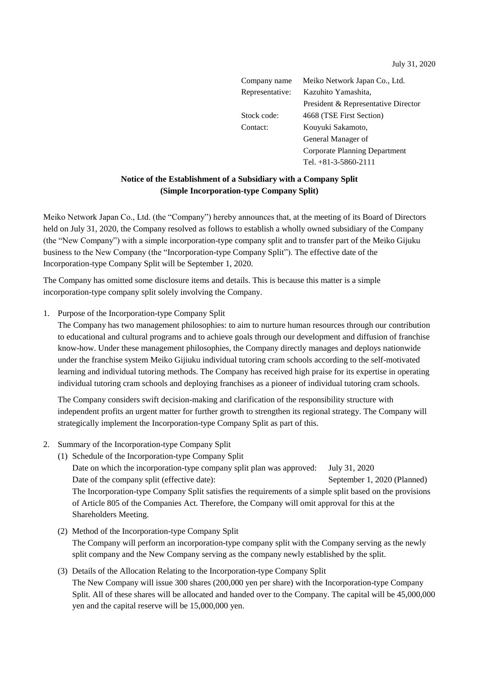July 31, 2020

Company name Meiko Network Japan Co., Ltd. Representative: Kazuhito Yamashita, President & Representative Director Stock code: 4668 (TSE First Section) Contact: Kouyuki Sakamoto, General Manager of Corporate Planning Department Tel. +81-3-5860-2111

## **Notice of the Establishment of a Subsidiary with a Company Split (Simple Incorporation-type Company Split)**

Meiko Network Japan Co., Ltd. (the "Company") hereby announces that, at the meeting of its Board of Directors held on July 31, 2020, the Company resolved as follows to establish a wholly owned subsidiary of the Company (the "New Company") with a simple incorporation-type company split and to transfer part of the Meiko Gijuku business to the New Company (the "Incorporation-type Company Split"). The effective date of the Incorporation-type Company Split will be September 1, 2020.

The Company has omitted some disclosure items and details. This is because this matter is a simple incorporation-type company split solely involving the Company.

1. Purpose of the Incorporation-type Company Split

The Company has two management philosophies: to aim to nurture human resources through our contribution to educational and cultural programs and to achieve goals through our development and diffusion of franchise know-how. Under these management philosophies, the Company directly manages and deploys nationwide under the franchise system Meiko Gijiuku individual tutoring cram schools according to the self-motivated learning and individual tutoring methods. The Company has received high praise for its expertise in operating individual tutoring cram schools and deploying franchises as a pioneer of individual tutoring cram schools.

The Company considers swift decision-making and clarification of the responsibility structure with independent profits an urgent matter for further growth to strengthen its regional strategy. The Company will strategically implement the Incorporation-type Company Split as part of this.

- 2. Summary of the Incorporation-type Company Split
	- (1) Schedule of the Incorporation-type Company Split

Date on which the incorporation-type company split plan was approved: July 31, 2020 Date of the company split (effective date): September 1, 2020 (Planned) The Incorporation-type Company Split satisfies the requirements of a simple split based on the provisions of Article 805 of the Companies Act. Therefore, the Company will omit approval for this at the Shareholders Meeting.

- (2) Method of the Incorporation-type Company Split The Company will perform an incorporation-type company split with the Company serving as the newly split company and the New Company serving as the company newly established by the split.
- (3) Details of the Allocation Relating to the Incorporation-type Company Split The New Company will issue 300 shares (200,000 yen per share) with the Incorporation-type Company Split. All of these shares will be allocated and handed over to the Company. The capital will be 45,000,000 yen and the capital reserve will be 15,000,000 yen.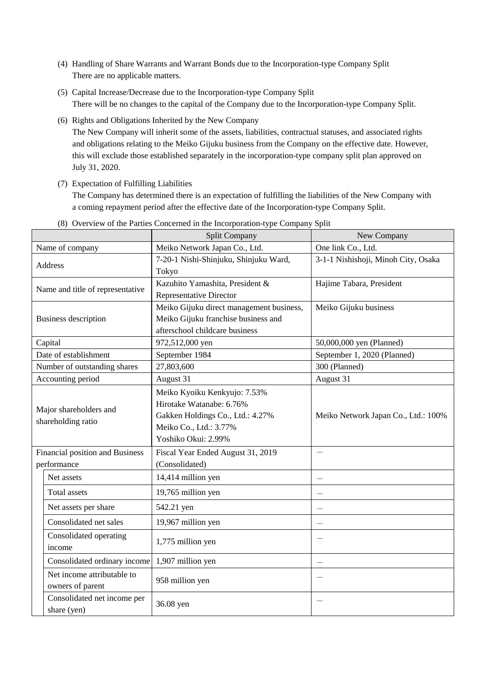- (4) Handling of Share Warrants and Warrant Bonds due to the Incorporation-type Company Split There are no applicable matters.
- (5) Capital Increase/Decrease due to the Incorporation-type Company Split There will be no changes to the capital of the Company due to the Incorporation-type Company Split.
- (6) Rights and Obligations Inherited by the New Company The New Company will inherit some of the assets, liabilities, contractual statuses, and associated rights and obligations relating to the Meiko Gijuku business from the Company on the effective date. However, this will exclude those established separately in the incorporation-type company split plan approved on July 31, 2020.
- (7) Expectation of Fulfilling Liabilities

The Company has determined there is an expectation of fulfilling the liabilities of the New Company with a coming repayment period after the effective date of the Incorporation-type Company Split.

|                                              | <b>Split Company</b>                     | New Company                         |
|----------------------------------------------|------------------------------------------|-------------------------------------|
| Name of company                              | Meiko Network Japan Co., Ltd.            | One link Co., Ltd.                  |
| <b>Address</b>                               | 7-20-1 Nishi-Shinjuku, Shinjuku Ward,    | 3-1-1 Nishishoji, Minoh City, Osaka |
|                                              | Tokyo                                    |                                     |
| Name and title of representative             | Kazuhito Yamashita, President &          | Hajime Tabara, President            |
|                                              | Representative Director                  |                                     |
| <b>Business description</b>                  | Meiko Gijuku direct management business, | Meiko Gijuku business               |
|                                              | Meiko Gijuku franchise business and      |                                     |
|                                              | afterschool childcare business           |                                     |
| Capital                                      | 972,512,000 yen                          | 50,000,000 yen (Planned)            |
| Date of establishment                        | September 1984                           | September 1, 2020 (Planned)         |
| Number of outstanding shares                 | 27,803,600                               | 300 (Planned)                       |
| Accounting period                            | August 31                                | August 31                           |
| Major shareholders and<br>shareholding ratio | Meiko Kyoiku Kenkyujo: 7.53%             |                                     |
|                                              | Hirotake Watanabe: 6.76%                 |                                     |
|                                              | Gakken Holdings Co., Ltd.: 4.27%         | Meiko Network Japan Co., Ltd.: 100% |
|                                              | Meiko Co., Ltd.: 3.77%                   |                                     |
|                                              | Yoshiko Okui: 2.99%                      |                                     |
| Financial position and Business              | Fiscal Year Ended August 31, 2019        |                                     |
| performance                                  | (Consolidated)                           |                                     |
| Net assets                                   | 14,414 million yen                       |                                     |
| <b>Total</b> assets                          | 19,765 million yen                       |                                     |
| Net assets per share                         | 542.21 yen                               |                                     |
| Consolidated net sales                       | 19,967 million yen                       |                                     |
| Consolidated operating<br>income             | 1,775 million yen                        |                                     |
| Consolidated ordinary income                 | 1,907 million yen                        |                                     |
| Net income attributable to                   | 958 million yen                          |                                     |
| owners of parent                             |                                          |                                     |
| Consolidated net income per                  | 36.08 yen                                |                                     |
| share (yen)                                  |                                          |                                     |

(8) Overview of the Parties Concerned in the Incorporation-type Company Split